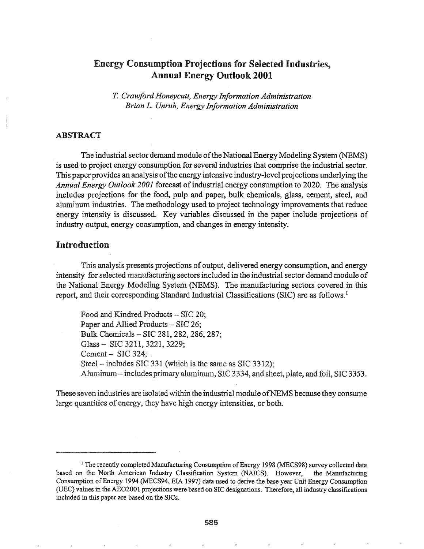# Energy Consumption Projections for Selected Industries, Annual Energy Outlook 2001

T. *Crawford Honeycutt, Energy Information Administration Brian L. Unruh, Energy Information Administration*

# ABSTRACT

The industrial sector demand module of the National Energy Modeling System (NEMS) is used to project energy consumption for several industries that comprise the industrial sector. This paper provides an analysis ofthe energy intensive industry-level projections underlying the *Annual Energy Outlook 2001* forecast of industrial energy consumption to 2020. The analysis includes projections for the food, pulp and paper, bulk chemicals, glass, cement, steel, and aluminum industries.. The methodology used to project technology improvements that reduce energy intensity is discussed~ Key variables discussed in the paper include projections of industry output, energy consumption, and changes in energy intensity..

# Introduction

This analysis presents projections of output, delivered energy consumption, and energy intensity for selected manufacturing sectors included in the industrial sector demand module of the National Energy Modeling System (NEMS). The manufacturing sectors covered in this report, and their corresponding Standard Industrial Classifications (SIC) are as follows'. <sup>1</sup>

Food and Kindred Products - SIC 20; Paper and Allied Products - SIC 26; Bulk Chemicals - SIC 281, 282, 286, 287; Glass - SIC 3211, 3221, 3229; Cement  $-$  SIC 324; Steel – includes SIC 331 (which is the same as SIC 3312); Aluminum - includes primary aluminum, SIC 3334, and sheet, plate, and foil, SIC 3353.

These seven industries are isolatedwithin the industrial module ofNEMS because they consume large quantities of energy, they have high energy intensities, or both.

<sup>&</sup>lt;sup>1</sup> The recently completed Manufacturing Consumption of Energy 1998 (MECS98) survey collected data based on the North American Industry Classification System (NAICS). However, the Manufacturing Consumption ofEnergy 1994 (MECS94, EIA 1997) data used to derive the base year Unit Energy Consumption (VEC) values in the AE02001 projections were based on SIC designations. Therefore, all industry classifications included in this paper are based on the SICs.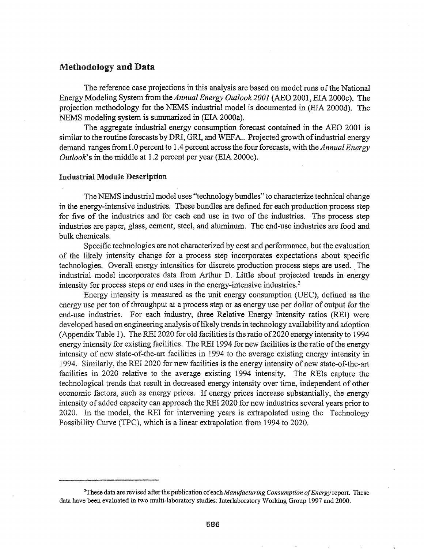# Methodology and Data

The reference case projections in this analysis are based on model runs of the National Energy Modeling System from the *AnnualEnergy Outlook 2001* (ABO 2001, EIA 2000c). The projection methodology for the NEMS industrial model is documented in (EIA 2000d). The NEMS modeling system is summarized in (EIA 2000a).

The aggregate industrial energy consumption forecast contained in the ABO 2001 is similar to the routine forecasts by DRI, GRI, and WEFA.. Projected growth of industrial energy demand ranges from 1.0 percent to 1.4 percent across the four forecasts, with the *Annual Energy Outlook's* in the middle at 1.2 percent per year (EIA 2000c).

## Industrial Module Description

The NEMS industrial model uses "technology bundles" to characterize technical change in the energy-intensive industries. These bundles are defined for each production process step for five of the industries and for each end use in two of the industries. The process step industries are paper, glass, cement, steel, and aluminum. The end-use industries are food and bulk chemicals.

Specific technologies are not characterized by cost and performance, but the evaluation of the likely intensity change for a process step incorporates expectations about specific technologies. Overall energy intensities for discrete production process steps are used. The industrial model incorporates data from Arthur D. Little about projected trends in energy intensity for process steps or end uses in the energy-intensive industries.<sup>2</sup>

Energy intensity is measured as the unit energy consumption (UEC), defined as the energy use per ton of throughput at a process step or as energy use per dollar of output for the end-use industries. For each industry, three Relative Energy Intensity ratios (REI) were developed based on engineering analysis of likely trends in technology availability and adoption (Appendix Table 1). The REI 2020 for old facilities is the ratio of 2020 energy intensity to 1994 energy intensity for existing facilities. The REI 1994 for new facilities is the ratio of the energy intensity of new state-of-the-art facilities in 1994 to the average existing energy intensity in 1994. Similarly, the REI 2020 for new facilities is the energy intensity of new state-of-the-art facilities in 2020 relative to the average existing 1994 intensity. The REIs capture the technological trends that result in decreased energy intensity over time, independent of other economic factors, such as energy prices. If energy prices increase substantially, the energy intensity of added capacity can approach the REI 2020 for new industries several years prior to 2020. In the model, the REI for intervening years is extrapolated using the Technology Possibility Curve (TPC), which is a linear extrapolation from 1994 to 2020.

<sup>&</sup>lt;sup>2</sup>These data are revised after the publication of each *Manufacturing Consumption of Energy* report. These data have been evaluated in two multi-laboratory studies: Interlaboratory Working Group 1997 and 2000.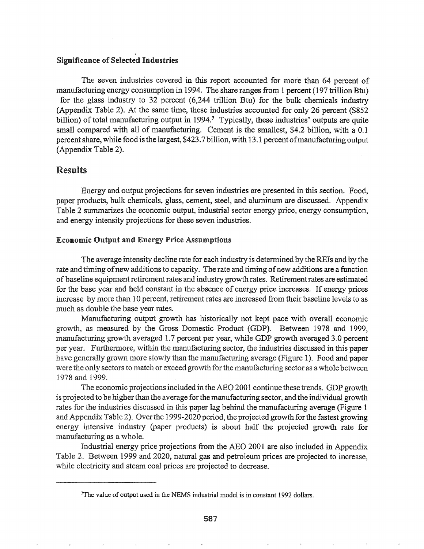## Significance of Selected Industries

The seven industries covered in this report accounted for more than 64 percent of manufacturing energy consumption in 1994. The share ranges from 1 percent (197 trillion Btu) for the glass industry to 32 percent (6,244 trillion Btu) for the bulk chemicals industry (Appendix Table 2). At the same time, these industries accounted for only 26 percent ( $$852$ billion) of total manufacturing output in 1994.<sup>3</sup> Typically, these industries' outputs are quite small compared with all of manufacturing. Cement is the smallest, \$4.2 billion, with a 0.1 percent share, while food is the largest, \$423.7 billion, with 13.1 percent of manufacturing output (Appendix Table 2).

# Results

Energy and output projections for seven industries are presented in this section. Food, paper products, bulk chemicals, glass, cement, steel, and aluminum are discussed. Appendix Table 2 summarizes the economic output, industrial sector energy price, energy consumption, and energy intensity projections for these seven industries.

# Economic Output and Energy Price Assumptions

The average intensity decline rate for each industry is determined by the REIs and by the rate and timing of new additions to capacity. The rate and timing of new additions are a function of baseline equipment retirement rates and industry growth rates. Retirement rates are estimated for the base year and held constant in the absence of energy price increases. If energy prices increase by more than 10 percent, retirement rates are increased from their baseline levels to as much as double the base year rates.

Manufacturing output growth has historically not kept pace with overall economic growth, as measured by the Gross Domestic Product (GDP). Between 1978 and 1999, manufacturing growth averaged 1.7 percent per year, while GDP growth averaged 3.0 percent per year. Furthermore, within the manufacturing sector, the industries discussed in this paper have generally grown more slowly than the manufacturing average (Figure 1). Food and paper were the only sectors to match or exceed growth for the manufacturing sector as a whole between 1978 and 1999.

The economic projections included in the AEO 2001 continue these trends. GDP growth is projected to be higher than the average for the manufacturing sector, and the individual growth rates for the industries discussed in this paper lag behind the manufacturing average (Figure 1 and Appendix Table 2). Over the 1999-2020 period, the projected growth for the fastest growing energy intensive industry (paper products) is about half the projected growth rate for manufacturing as a whole.

Industrial energy price projections from the ABO 2001 are also included in Appendix Table 2. Between 1999 and 2020, natural gas and petroleum prices are projected to increase, while electricity and steam coal prices are projected to decrease.

<sup>&</sup>lt;sup>3</sup>The value of output used in the NEMS industrial model is in constant 1992 dollars.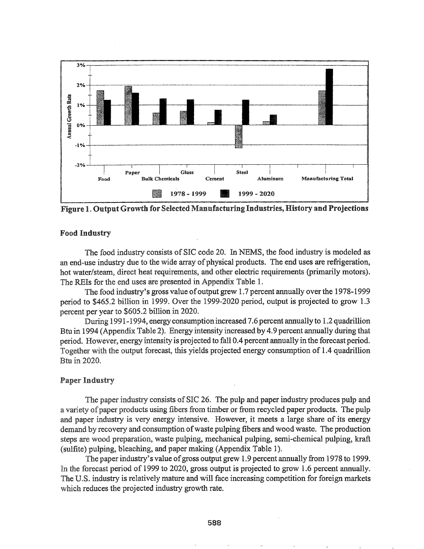

Figure 1. Output Growth for Selected Manufacturing Industries, History and Projections

# **Food Industry**

The food industry consists of SIC code 20. In NEMS, the food industry is modeled as an end-use industry due to the wide array of physical products. The end uses are refrigeration, hot water/steam, direct heat requirements, and other electric requirements (primarily motors). The REIs for the end uses are presented in Appendix Table 1.

The food industry's gross value of output grew 1.7 percent annually over the 1978-1999 period to \$465.2 billion in 1999. Over the 1999-2020 period, output is projected to grow 1.3 percent per year to \$605.2 billion in 2020.

During 1991-1994, energy consumption increased 7 6 percent annually to 1..2 quadrillion 1994 (Appendix Table 2).. Energy intensity increased by 4.9 percent annually during that period. However, energy intensity is projected to fall 0..4 percent annually in the forecast period.. Together with the output forecast, this yields projected energy consumption of 1.4 quadrillion Btu in 2020.

# **Paper Industry**

The paper industry consists of SIC 26. The pulp and paper industry produces pulp and a variety of paper products using fibers from timber or from recycled paper products. The pulp and paper industry is very energy intensive.. However, it meets a large share of its energy demand by recovery and consumption ofwaste pulping fibers and wood waste.. The production steps are wood preparation, waste pulping, mechanical pulping, semi-chemical pulping, kraft (sulfite) pulping, bleaching, and paper making (Appendix Table 1).

The paper industry's value of gross output grew 1.9 percent annually from 1978 to 1999. In the forecast period of 1999 to 2020, gross output is projected to grow 1.6 percent annually. The U..S. industry is relatively mature and will face increasing competition for foreign markets which reduces the projected industry growth rate.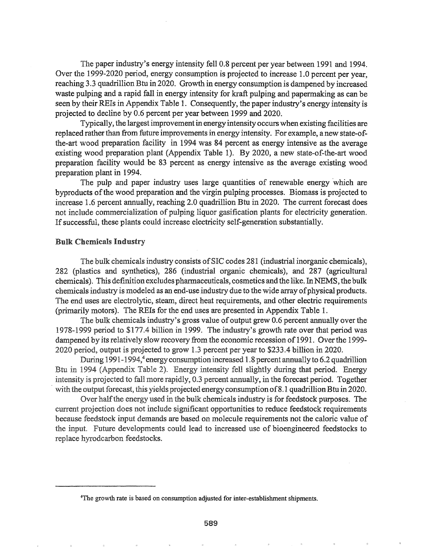The paper industry's energy intensity fell 0.8 percent per year between 1991 and 1994. Over the 1999-2020 period, energy consumption is projected to increase 1.0 percent per year, reaching 3.3 quadrillion Btu in 2020. Growth in energy consumption is dampened by increased waste pulping and a rapid fall in energy intensity for kraft pulping and papermaking as can be seen by their *RBIs*in Appendix Table 1. Consequently, the paper industry's energy intensity is projected to decline by 0.6 percent per year between 1999 and 2020.

Typically, the largest improvementin energy intensity occurs when existing facilities are replaced rather than from future improvements in energy intensity. For example, a new state-ofthe-art wood preparation facility in 1994 was 84 percent as energy intensive as the average existing wood preparation plant (Appendix Table 1). By 2020, a new state-of-the-art wood preparation facility would be 83 percent as energy intensive as the average existing wood preparation plant in 1994.

The pulp and paper industry uses large quantities of renewable energy 'which are byproducts ofthe wood preparation' and the virgin pulping processes. Biomass is projected to increase 1.6 percent annually, reaching 2.0 quadrillion Btu in 2020.. The current forecast does not include commercialization of pulping liquor gasification plants for electricity generation. If successful, these plants could increase electricity self-generation substantially.

#### **Bulk Chemicals Industry**

The bulk chemicals industry consists of SIC codes 281 (industrial inorganic chemicals), 282 (plastics and synthetics), 286 (industrial organic chemicals), and 287 (agricultural chemicals). This definition excludes pharmaceuticals, cosmetics and the like. In NEMS, the bulk chemicals industry is modeled as an end-use industry due to the wide array of physical products. The end uses are electrolytic, steam, direct heat requirements, and other electric requirements (primarily motors). The REIs for the end uses are presented in Appendix Table 1.

The bulk chemicals industry's gross value of output grew 0.6 percent annually over the 1978-1999 period to \$177.4 billion in 1999. The industry's growth rate over that period was dampened by its relatively slow recovery from the economic recession of 1991. Over the 1999-2020 period, output is projected to grow 1.3 percent per year to \$233.4 billion in 2020.

During 1991-1994,<sup>4</sup> energy consumption increased 1.8 percent annually to 6.2 quadrillion Btu in 1994 (Appendix Table 2). Energy intensity fell slightly during that period. Energy intensity is projected to fall more rapidly, 0.3 percent annually, in the forecast period. Together with the output forecast, this yields projected energy consumption of 8.1 quadrillion Btu in 2020.

Over half the energy used in the bulk chemicals industry is for feedstock purposes. The current projection does not include significant opportunities to reduce feedstock requirements because feedstock input demands are based on molecule requirements not the caloric value of the input. Future developments could lead to increased use of bioengineered feedstocks to replace hyrodcarbon feedstocks.

<sup>4</sup>The growth rate is based on consumption adjusted for inter-establishment shipments.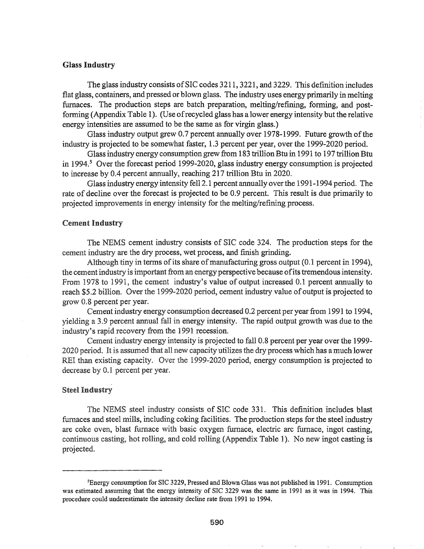# Glass Industry

The glass industry consists of SIC codes 3211, 3221, and 3229. This definition includes flat glass, containers, and pressed or blown glass. The industry uses energy primarily in melting furnaces. The production steps are batch preparation, melting/refining, forming, and postforming (Appendix Table 1). (Use ofrecycled glass has a lower energy intensity but the relative energy intensities are assumed to be the same as for virgin glass.)

Glass industry output grew 0.7 percent annually over 1978-1999. Future growth of the industry is projected to be somewhat faster, 1.3 percent per year, over the 1999-2020 period.

Glassindustry energy consumption grew from 183 trillionBtu in 1991 to 197 trillionBtu in 1994.<sup>5</sup> Over the forecast period 1999-2020, glass industry energy consumption is projected to increase by 0.4 percent annually, reaching 217 trillion Btu in 2020.

Glass industry energy intensity fell 2.1 percent annually overthe 1991-1994 period. The rate of decline over the forecast is projected to be 0.9 percent. This result is due primarily to projected improvements in energy intensity for the melting/refining process.

# Cement Industry

The NEMS cement industry consists'of SIC code 324. The production steps for the cement industry are the dry process, wet process, and finish grinding.

Although tiny in terms of its share of manufacturing gross output (0.1 percent in 1994), the cement industry is important from an energy perspective because of its tremendous intensity. From 1978 to 1991, the cement industry's value of output increased 0.1 percent annually to reach \$5.2 billion. Over the 1999-2020 period, cement industry value of output is projected to grow 0.8 percent per year.

Cement industry energy consumption decreased 0.2 percent per year from 1991 to 1994, yielding a 3.9 percent annual fall in energy intensity. The rapid output growth was due to the industry's rapid recovery from the 1991 recession.

Cement industry energy intensity is projected to fall 0.8 percent per year over the 1999- 2020 period. It is assumed that all new capacity utilizes the dry process which has a much lower REI than existing capacity. Over the 1999-2020 period, energy consumption is projected to decrease by 0.1 percent per year.

# **Steel Industry**

The NEMS steel industry consists of SIC code 331. This definition includes blast furnaces and steel mills, including coking facilities. The production steps for the steel industry are coke oven, blast furnace with basic oxygen furnace, electric arc furnace, ingot casting, continuous casting, hot rolling, and cold rolling (Appendix Table 1). No new ingot casting is projected.

<sup>5</sup>Energy consumption for SIC 3229, Pressed and Blown Glass was not published in 1991. Consumption was estimated assuming that the energy intensity of SIC 3229 was the same in 1991 as it was in 1994. This procedure could underestimate the intensity decline rate from 1991 to 1994.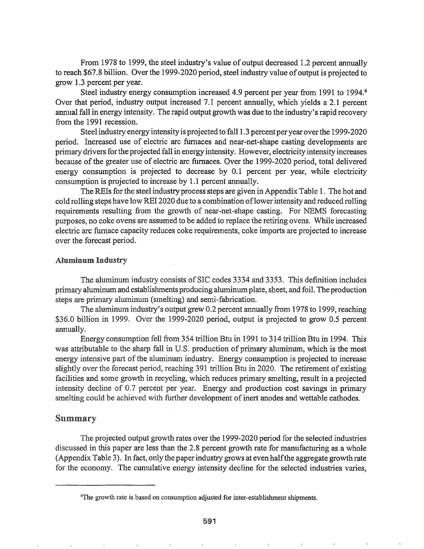From 1978 to 1999, the steel industry's value of output decreased 1.2 percent annually to reach \$67.8 billion. Over the 1999-2020 period, steel industry value ofoutput is projected to grow 1.3 percent per year.

Steel industry energy consumption increased 4.9 percent per year from 1991 to 1994.<sup>6</sup> Over that period, industry output increased 7.1 percent annually, which yields a 2.1 percent annual fall in energy intensity. The rapid output growth was due to the industry's rapid recovery from the 1991 recession.

Steel industry energy intensity is projected to fall 1.3 percent per year overthe 1999-2020 period. Increased use of electric arc furnaces and near-net-shape casting developments are primary drivers for the projected fall in energy intensity. However, electricity intensity increases because of the greater use of electric arc furnaces. Over the 1999-2020 period, total delivered energy consumption is projected to decrease by 0.1 percent per year, while electricity consumption is projected to increase by 1.1 percent annually.

The REIs for the steel industry process steps are given in Appendix Table 1. The hot and cold rolling steps have low RBI 2020 due to a combination oflowerintensity and reduced rolling requirements resulting from the growth of near-net-shape casting. For NEMS forecasting purposes, no coke ovens are assumed to be added to replace the retiring ovens. While increased electric arc furnace capacity reduces coke requirements, coke imports are projected to increase over the forecast period.

# Aluminum Industry

The aluminum industry consists of SIC codes 3334 and 3353. This definition includes primary aluminum and establishments producing aluminum plate, sheet, and foil. The production steps are primary aluminum (smelting) and semi-fabrication.

The aluminum industry's output grew 0.2 percent annually from 1978 to 1999, reaching \$36.0 billion in 1999. Over the 1999-2020 period, output is projected to grow 0.5 percent annually.

Energy consumption fell from 354 trillion Btu in 1991 to 314 trillion Btu in 1994. This was attributable to the sharp fall in U.S. production of primary aluminum, which is the most energy intensive part of the aluminum industry. Energy consumption is projected to increase slightly over the forecast period, reaching 391 trillion Btu in 2020. The retirement of existing facilities and some growth in recycling, which reduces primary smelting, result in a projected intensity decline of 0.7 percent per year. Energy and production cost savings in primary smelting could be achieved with further development of inert anodes and wettable cathodes.

## Summary

The projected output growth rates over the 1999-2020 period for the selected industries discussed in this paper are less than the 2.8 percent growth rate for manufacturing as a whole (Appendix TabIe 3). In fact, only the paperindustry grows at even halfthe aggregate growth rate for the economy. The cumulative energy intensity decline for the selected industries varies,

<sup>6</sup>The growth rate is based on consumption adjusted for inter-establishment shipments.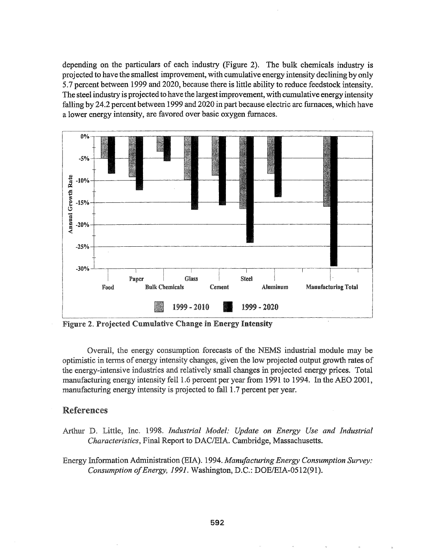depending on the particulars of each industry (Figure 2). The bulk chemicals industry is projected to have the smallest improvement, with cumulative energy intensity declining by only 5.7 percent between 1999 and 2020, because there is little ability to reduce feedstock intensity. The steel industry is projected to have the largestimprovement, with cumulative energy intensity falling by 24.2 percent between 1999 and 2020 in part because electric arc furnaces, which have a lower energy intensity, are favored over basic oxygen furnaces..



Figure 2. Projected Cumulative Change in Energy Intensity

Overall, the energy consumption forecasts of the NEMS industrial module may be optimistic in terms of energy intensity changes, given the low projected output growth rates of the energy-intensive industries and relatively small changes in projected energy prices. Total manufacturing energy intensity fell 1.6 percent per year from 1991 to 1994. In the AEO 2001, manufacturing energy intensity is projected to fall 1.7 percent per year.

# **References**

- Inc. 1998. *Industrial Model: Update on Energy Use and Industrial Characteristics, Final Report to DAC/EIA. Cambridge, Massachusetts.*
- Energy Information Administration (EIA). 1994. *Manufacturing Energy Consumption Survey: Consumption of Energy, 1991.* Washington, D.C.: DOE/EIA-0512(91).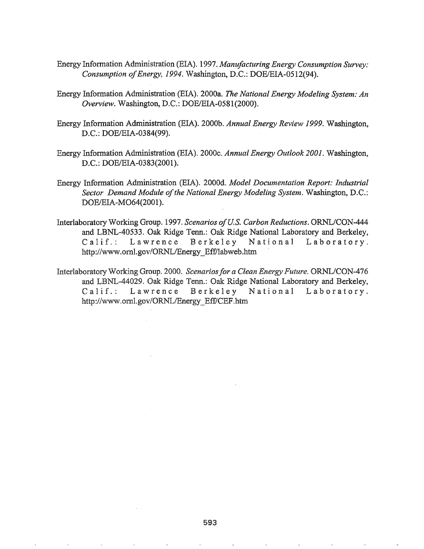- Energy Information Administration (EIA). 1997. *Manufacturing Energy Consumption Survey*: *Consumption ofEnergy,* 1994. Washington, D.C.: DOE/EIA-0512(94).
- Energy Information Administration (EIA). 2000a. *The National Energy Modeling System: An Overview.* Washington, D.C.: DOE/EIA-0581(2000).
- Energy Information Administration (EIA). 2000b. *Annual Energy Review* 1999. Washington, D.C.: DOE/EIA-0384(99).
- Energy Information Administration (EIA). 2000e. *Annual Energy Outlook 2001.* Washington, D.C.: DOE/EIA-0383(2001).
- Energy Information Administration (EIA). 2000d. *Model Documentation Report.· Industrial Sector Demand Module of*the *National Energy Modeling System.* Washington, D.C.: DOE/EIA-M064(2001).
- Interlaboratory Working Group. 1997. *Scenarios ofU.S. Carbon Reductions..* ORNL/CON-444 and LBNL-40533. Oak Ridge Tenn.: Oak Ridge National Laboratory and Berkeley, Calif.: Lawrence Berkeley National Laboratory. http://www.oml.gov/ORNL/Energy\_Eff/labweb.htm
- Interlaboratory Working Group. 2000. *Scenariosfor a Clean Energy Future.* ORNL/CON-476 and LBNL-44029. Oak Ridge Tenn.: Oak Ridge National Laboratory and Berkeley, Calif.: Lawrence Berkeley National Laboratory. http://www.ornl.gov/ORNL/Energy\_Eff/CEF.htm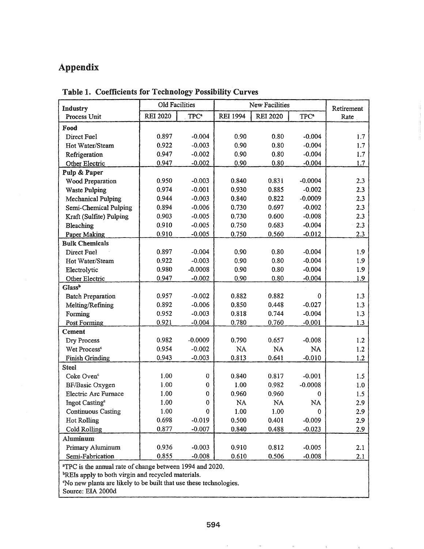# Appendix

| Industry                                                            | <b>Old Facilities</b> |                  | <b>New Facilities</b> | Retirement      |                  |      |  |
|---------------------------------------------------------------------|-----------------------|------------------|-----------------------|-----------------|------------------|------|--|
| Process Unit                                                        | <b>REI 2020</b>       | TPC <sup>a</sup> | <b>REI 1994</b>       | <b>REI 2020</b> | TPC <sup>a</sup> | Rate |  |
| Food                                                                |                       |                  |                       |                 |                  |      |  |
| Direct Fuel                                                         | 0.897                 | $-0.004$         | 0.90                  | 0.80            | $-0.004$         | 1.7  |  |
| Hot Water/Steam                                                     | 0.922                 | $-0.003$         | 0.90                  | 0.80            | $-0.004$         | 1.7  |  |
| Refrigeration                                                       | 0.947                 | $-0.002$         | 0.90                  | 0.80            | $-0.004$         | 1.7  |  |
| Other Electric                                                      | 0.947                 | $-0.002$         | 0.90                  | 0.80            | $-0.004$         | 1.7  |  |
| Pulp & Paper                                                        |                       |                  |                       |                 |                  |      |  |
| Wood Preparation                                                    | 0.950                 | $-0.003$         | 0.840                 | 0.831           | $-0.0004$        | 2.3  |  |
| <b>Waste Pulping</b>                                                | 0.974                 | $-0.001$         | 0.930                 | 0.885           | $-0.002$         | 2.3  |  |
| <b>Mechanical Pulping</b>                                           | 0.944                 | $-0.003$         | 0.840                 | 0.822           | $-0.0009$        | 2.3  |  |
| Semi-Chemical Pulping                                               | 0.894                 | $-0.006$         | 0.730                 | 0.697           | $-0.002$         | 2.3  |  |
| Kraft (Sulfite) Pulping                                             | 0.903                 | $-0.005$         | 0.730                 | 0.600           | $-0.008$         | 2.3  |  |
| Bleaching                                                           | 0.910                 | $-0.005$         | 0.750                 | 0.683           | $-0.004$         | 2.3  |  |
| Paper Making                                                        | 0.910                 | $-0.005$         | 0.750                 | 0.560           | $-0.012$         | 2.3  |  |
| <b>Bulk Chemicals</b>                                               |                       |                  |                       |                 |                  |      |  |
| Direct Fuel                                                         | 0.897                 | $-0.004$         | 0.90                  | 0.80            | $-0.004$         | 1.9  |  |
| Hot Water/Steam                                                     | 0.922                 | $-0.003$         | 0.90                  | 0.80            | $-0.004$         | 1.9  |  |
| Electrolytic                                                        | 0.980                 | $-0.0008$        | 0.90                  | 0.80            | $-0.004$         | 1.9  |  |
| Other Electric                                                      | 0.947                 | $-0.002$         | 0.90                  | 0.80            | $-0.004$         | 1.9  |  |
| Glass <sup>b</sup>                                                  |                       |                  |                       |                 |                  |      |  |
| <b>Batch Preparation</b>                                            | 0.957                 | $-0.002$         | 0.882                 | 0.882           | 0                | 1.3  |  |
| Melting/Refining                                                    | 0.892                 | $-0.006$         | 0.850                 | 0.448           | $-0.027$         | 1.3  |  |
| Forming                                                             | 0.952                 | $-0.003$         | 0.818                 | 0.744           | $-0.004$         | 1.3  |  |
| Post Forming                                                        | 0.921                 | $-0.004$         | 0.780                 | 0.760           | $-0.001$         | 1.3  |  |
| Cement                                                              |                       |                  |                       |                 |                  |      |  |
| Dry Process                                                         | 0.982                 | $-0.0009$        | 0.790                 | 0.657           | $-0.008$         | 1.2  |  |
| Wet Process <sup>c</sup>                                            | 0.954                 | $-0.002$         | NA                    | NA              | NA               | 1.2  |  |
| <b>Finish Grinding</b>                                              | 0.943                 | $-0.003$         | 0.813                 | 0.641           | $-0.010$         | 1.2  |  |
| Steel                                                               |                       |                  |                       |                 |                  |      |  |
| Coke Oven <sup>c</sup>                                              | 1.00                  | $\pmb{0}$        | 0.840                 | 0.817           | $-0.001$         | 1.5  |  |
| BF/Basic Oxygen                                                     | 1.00                  | $\bf{0}$         | 1.00                  | 0.982           | $-0.0008$        | 1.0  |  |
| <b>Electric Arc Furnace</b>                                         | 1.00                  | 0                | 0.960                 | 0.960           | 0                | 1.5  |  |
| Ingot Casting <sup>c</sup>                                          | 1.00                  | 0                | NA                    | NA              | NA               | 2.9  |  |
| <b>Continuous Casting</b>                                           | 1.00                  | $\mathbf 0$      | 1.00                  | 1.00            | 0                | 2.9  |  |
| <b>Hot Rolling</b>                                                  | 0.698                 | $-0.019$         | 0.500                 | 0.401           | $-0.009$         | 2.9  |  |
| Cold Rolling                                                        | 0.877                 | $-0.007$         | 0.840                 | 0.488           | $-0.023$         | 2.9  |  |
| <b>Aluminum</b>                                                     |                       |                  |                       |                 |                  |      |  |
| Primary Aluminum                                                    | 0.936                 | $-0.003$         | 0.910                 | 0.812           | $-0.005$         | 2.1  |  |
| Semi-Fabrication                                                    | 0.855                 | $-0.008$         | 0.610                 | 0.506           | $-0.008$         | 2.1  |  |
| <sup>a</sup> TPC is the annual rate of change between 1994 and 2020 |                       |                  |                       |                 |                  |      |  |

Table 1. Coefficients for Technology Possibility Curves

<sup>a</sup>TPC is the annual rate of change between 1994 and 2020.

<sup>b</sup>REIs apply to both virgin and recycled materials.

'No new plants are likely to be built that use these technologies.

Source: EIA 2000d

 $\bar{\theta}$ 

 $\mathbb{R}^n$  . The set of the set of the set of the set of the set of the set of the set of the set of the set of the set of the set of the set of the set of the set of the set of the set of the set of the set of the set of

 $\sim 5$ 

 $\mathcal{G}_\mu$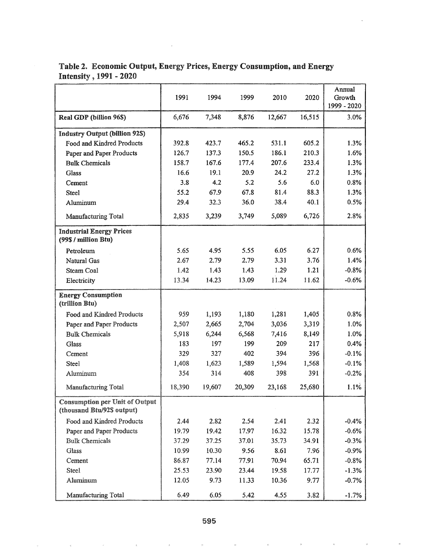|                                                                     | 1991   | 1994   | 1999   | 2010   | 2020   | Annual<br>Growth<br>1999 - 2020 |
|---------------------------------------------------------------------|--------|--------|--------|--------|--------|---------------------------------|
| Real GDP (billion 96\$)                                             | 6,676  | 7,348  | 8,876  | 12,667 | 16,515 | 3.0%                            |
| <b>Industry Output (billion 925)</b>                                |        |        |        |        |        |                                 |
| Food and Kindred Products                                           | 392.8  | 423.7  | 465.2  | 531.1  | 605.2  | 1.3%                            |
| Paper and Paper Products                                            | 126.7  | 137.3  | 150.5  | 186.1  | 210.3  | 1.6%                            |
| <b>Bulk Chemicals</b>                                               | 158.7  | 167.6  | 177.4  | 207.6  | 233.4  | 1.3%                            |
| Glass                                                               | 16.6   | 19.1   | 20.9   | 24.2   | 27.2   | 1.3%                            |
| Cement                                                              | 3.8    | 4.2    | 5.2    | 5.6    | 6.0    | 0.8%                            |
| <b>Steel</b>                                                        | 55.2   | 67.9   | 67.8   | 81.4   | 88.3   | 1.3%                            |
| Aluminum                                                            | 29.4   | 32.3   | 36.0   | 38.4   | 40.1   | 0.5%                            |
| Manufacturing Total                                                 | 2,835  | 3,239  | 3,749  | 5,089  | 6,726  | 2.8%                            |
| <b>Industrial Energy Prices</b><br>(99\$ / million Btu)             |        |        |        |        |        |                                 |
| Petroleum                                                           | 5.65   | 4.95   | 5.55   | 6.05   | 6.27   | 0.6%                            |
| Natural Gas                                                         | 2.67   | 2.79   | 2.79   | 3.31   | 3.76   | 1.4%                            |
| Steam Coal                                                          | 1.42   | 1.43   | 1.43   | 1.29   | 1.21   | $-0.8%$                         |
| Electricity                                                         | 13.34  | 14.23  | 13.09  | 11.24  | 11.62  | $-0.6%$                         |
| <b>Energy Consumption</b><br>(trillion Btu)                         |        |        |        |        |        |                                 |
| Food and Kindred Products                                           | 959    | 1,193  | 1,180  | 1,281  | 1,405  | 0.8%                            |
| Paper and Paper Products                                            | 2,507  | 2,665  | 2,704  | 3,036  | 3,319  | 1.0%                            |
| <b>Bulk Chemicals</b>                                               | 5,918  | 6,244  | 6,568  | 7,416  | 8,149  | 1.0%                            |
| Glass                                                               | 183    | 197    | 199    | 209    | 217    | 0.4%                            |
| Cement                                                              | 329    | 327    | 402    | 394    | 396    | $-0.1%$                         |
| Steel                                                               | 1,408  | 1,623  | 1,589  | 1,594  | 1,568  | $-0.1%$                         |
| Aluminum                                                            | 354    | 314    | 408    | 398    | 391    | $-0.2%$                         |
| Manufacturing Total                                                 | 18,390 | 19,607 | 20,309 | 23,168 | 25,680 | 1.1%                            |
| <b>Consumption per Unit of Output</b><br>(thousand Btu/92\$ output) |        |        |        |        |        |                                 |
| Food and Kindred Products                                           | 2.44   | 2.82   | 2.54   | 2.41   | 2.32   | $-0.4%$                         |
| Paper and Paper Products                                            | 19.79  | 19.42  | 17.97  | 16.32  | 15.78  | $-0.6%$                         |
| <b>Bulk Chemicals</b>                                               | 37.29  | 37.25  | 37.01  | 35.73  | 34.91  | $-0.3%$                         |
| Glass                                                               | 10.99  | 10.30  | 9.56   | 8.61   | 7.96   | $-0.9%$                         |
| Cement                                                              | 86.87  | 77.14  | 77.91  | 70.94  | 65.71  | $-0.8%$                         |
| Steel                                                               | 25.53  | 23.90  | 23.44  | 19.58  | 17.77  | $-1.3%$                         |
| Aluminum                                                            | 12.05  | 9.73   | 11.33  | 10.36  | 9.77   | $-0.7%$                         |
| Manufacturing Total                                                 | 6.49   | 6.05   | 5.42   | 4.55   | 3.82   | $-1.7%$                         |

# Table 2. Economic Output, Energy Prices, Energy Consumption, and Energy Intensity, 1991 - 2020

 $\bar{u}$ 

 $\eta$ 

 $\lambda$